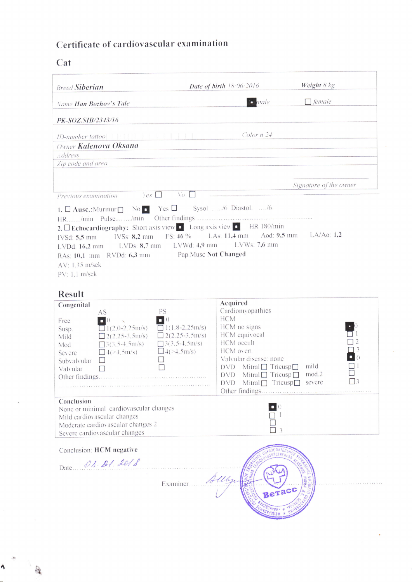## Certificate of cardiovascular examination

## Cat

| <b>Breed Siberian</b>                                                                                                                                                                                                                                                                                                                                                                                                           | <b>Date of birth 18:06 2016</b>                                                                                                                                                                                                                                                                       | Weight 8 kg                  |
|---------------------------------------------------------------------------------------------------------------------------------------------------------------------------------------------------------------------------------------------------------------------------------------------------------------------------------------------------------------------------------------------------------------------------------|-------------------------------------------------------------------------------------------------------------------------------------------------------------------------------------------------------------------------------------------------------------------------------------------------------|------------------------------|
| Name Han Bozhov's Tale                                                                                                                                                                                                                                                                                                                                                                                                          | $\blacksquare$ male                                                                                                                                                                                                                                                                                   | $\Box$ female                |
| PK-SOZ.SIB/2343/16                                                                                                                                                                                                                                                                                                                                                                                                              |                                                                                                                                                                                                                                                                                                       |                              |
| ID-number tattoo                                                                                                                                                                                                                                                                                                                                                                                                                | Color n 24                                                                                                                                                                                                                                                                                            |                              |
| Owner Kalenova Oksana                                                                                                                                                                                                                                                                                                                                                                                                           |                                                                                                                                                                                                                                                                                                       |                              |
| <b>Address</b>                                                                                                                                                                                                                                                                                                                                                                                                                  |                                                                                                                                                                                                                                                                                                       |                              |
| Zip code and area                                                                                                                                                                                                                                                                                                                                                                                                               |                                                                                                                                                                                                                                                                                                       |                              |
|                                                                                                                                                                                                                                                                                                                                                                                                                                 |                                                                                                                                                                                                                                                                                                       |                              |
|                                                                                                                                                                                                                                                                                                                                                                                                                                 |                                                                                                                                                                                                                                                                                                       | Signature of the owner       |
| $Yes \Box$<br>Previous examination                                                                                                                                                                                                                                                                                                                                                                                              | $\sqrt{o}$                                                                                                                                                                                                                                                                                            |                              |
| 2. Echocardiography: Short axis view C Long axis view C HR 180/min<br><b>IVSs: 8.2 mm</b><br>IVSd: 5,5 mm<br>LVDs: $8,7$ mm LVWd: $4.9$ mm<br>LVDd: 16.2 mm<br>RAs: 10,1 mm RVDd: 6,3 mm Pap.Musc Not Changed<br>AV: 1.35 m/sek<br>PV: 1.1 m/sek                                                                                                                                                                                | FS: $46\%$ LAs: 11,4 mm Aod: 9,5 mm LA/Ao: 1,2<br>$LVMs: 7.6$ mm                                                                                                                                                                                                                                      |                              |
| <b>Result</b>                                                                                                                                                                                                                                                                                                                                                                                                                   | Acquired                                                                                                                                                                                                                                                                                              |                              |
| Congenital<br><b>PS</b><br>AS<br>$\begin{bmatrix} 1 \\ 0 \end{bmatrix}$<br>Free<br>$1(2.0 - 2.25)$ m/s)<br>Susp.<br>$\Box$ 2(2.25-3.5m/s)<br>Mild<br>$3(3.5-4.5m/s)$<br>$\Box$ 3(3.5-4.5m/s)<br>Mod<br>$\Box$ 4( $>$ 4.5m/s)<br>$\Box$ 4(>4.5m/s)<br>Severe<br>Subvalvular<br>Valvular<br>Other findings<br>.<br>That are a compared to a compare the second compared to the compared of the second compared in the second to t | Cardiomyopathies<br><b>HCM</b><br>HCM no signs<br>$\overline{\Box}$ 1(1.8-2.25m/s)<br>HCM equivocal<br>$2(2.25-3.5m/s)$<br>HCM occult<br>HCM overt<br>Valvular disease: none<br>$DVD$ Mitral $\Box$ Tricusp $\Box$<br>$DVD$ Mitral $\Box$ Tricusp $\Box$<br>$DVD$ Mitral $\Box$ Tricusp $\Box$ severe | mild<br>mod.2<br>$\square$ 3 |
| Conclusion<br>None or minimal cardiovascular changes<br>Mild cardiovascular changes<br>Moderate cardiovascular changes 2<br>Severe cardiovascular changes                                                                                                                                                                                                                                                                       |                                                                                                                                                                                                                                                                                                       | 3                            |
| Conclusion: HCM negative<br>Date 08. 21. 2018                                                                                                                                                                                                                                                                                                                                                                                   | Examiner Allbyes                                                                                                                                                                                                                                                                                      | Beracc                       |

Ą